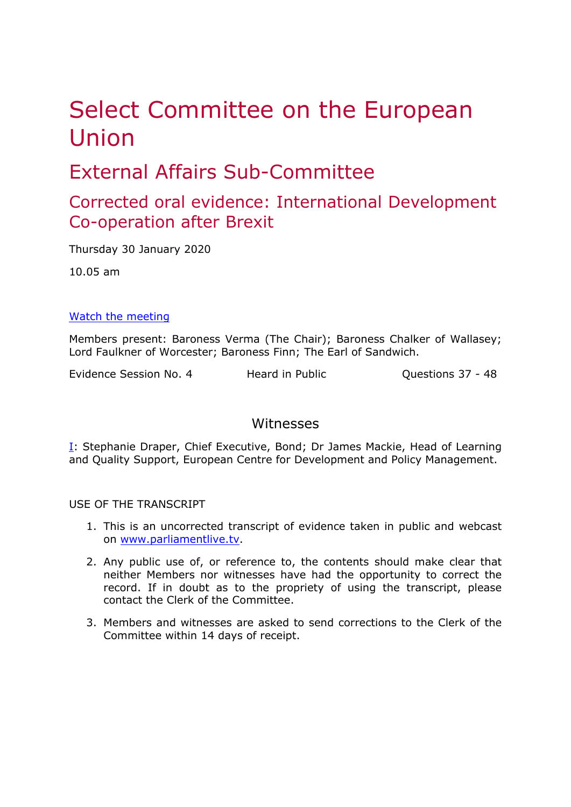# Select Committee on the European Union

## External Affairs Sub-Committee

### Corrected oral evidence: International Development Co-operation after Brexit

Thursday 30 January 2020

10.05 am

#### [Watch](https://parliamentlive.tv/Event/Index/e840facb-4fc9-43ed-a69f-d0e71f3f3a86) [the](https://parliamentlive.tv/Event/Index/e840facb-4fc9-43ed-a69f-d0e71f3f3a86) [meeting](https://parliamentlive.tv/Event/Index/e840facb-4fc9-43ed-a69f-d0e71f3f3a86)

Members present: Baroness Verma (The Chair); Baroness Chalker of Wallasey; Lord Faulkner of Worcester; Baroness Finn; The Earl of Sandwich.

Evidence Session No. 4 Heard in Public Cuestions 37 - 48

#### <span id="page-0-0"></span>Witnesses

[I:](#page-0-0) Stephanie Draper, Chief Executive, Bond; Dr James Mackie, Head of Learning and Quality Support, European Centre for Development and Policy Management.

USE OF THE TRANSCRIPT

- 1. This is an uncorrected transcript of evidence taken in public and webcast on [www.parliamentlive.tv.](http://www.parliamentlive.tv/)
- 2. Any public use of, or reference to, the contents should make clear that neither Members nor witnesses have had the opportunity to correct the record. If in doubt as to the propriety of using the transcript, please contact the Clerk of the Committee.
- 3. Members and witnesses are asked to send corrections to the Clerk of the Committee within 14 days of receipt.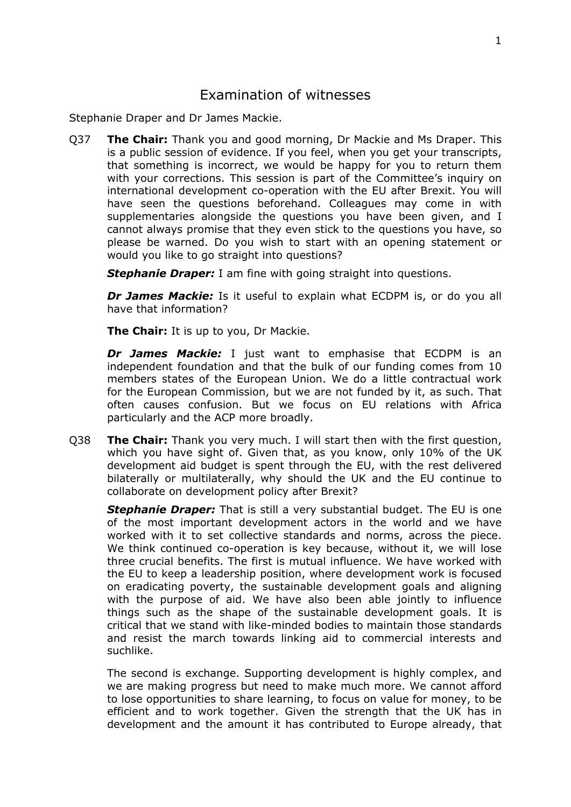#### Examination of witnesses

Stephanie Draper and Dr James Mackie.

Q37 **The Chair:** Thank you and good morning, Dr Mackie and Ms Draper. This is a public session of evidence. If you feel, when you get your transcripts, that something is incorrect, we would be happy for you to return them with your corrections. This session is part of the Committee's inquiry on international development co-operation with the EU after Brexit. You will have seen the questions beforehand. Colleagues may come in with supplementaries alongside the questions you have been given, and I cannot always promise that they even stick to the questions you have, so please be warned. Do you wish to start with an opening statement or would you like to go straight into questions?

**Stephanie Draper:** I am fine with going straight into questions.

*Dr James Mackie:* Is it useful to explain what ECDPM is, or do you all have that information?

**The Chair:** It is up to you, Dr Mackie.

*Dr James Mackie:* I just want to emphasise that ECDPM is an independent foundation and that the bulk of our funding comes from 10 members states of the European Union. We do a little contractual work for the European Commission, but we are not funded by it, as such. That often causes confusion. But we focus on EU relations with Africa particularly and the ACP more broadly.

Q38 **The Chair:** Thank you very much. I will start then with the first question, which you have sight of. Given that, as you know, only 10% of the UK development aid budget is spent through the EU, with the rest delivered bilaterally or multilaterally, why should the UK and the EU continue to collaborate on development policy after Brexit?

*Stephanie Draper:* That is still a very substantial budget. The EU is one of the most important development actors in the world and we have worked with it to set collective standards and norms, across the piece. We think continued co-operation is key because, without it, we will lose three crucial benefits. The first is mutual influence. We have worked with the EU to keep a leadership position, where development work is focused on eradicating poverty, the sustainable development goals and aligning with the purpose of aid. We have also been able jointly to influence things such as the shape of the sustainable development goals. It is critical that we stand with like-minded bodies to maintain those standards and resist the march towards linking aid to commercial interests and suchlike.

The second is exchange. Supporting development is highly complex, and we are making progress but need to make much more. We cannot afford to lose opportunities to share learning, to focus on value for money, to be efficient and to work together. Given the strength that the UK has in development and the amount it has contributed to Europe already, that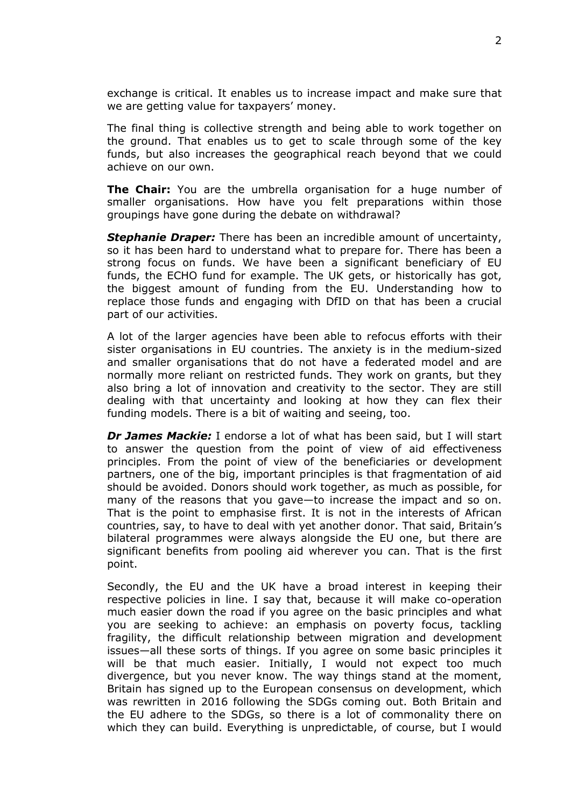exchange is critical. It enables us to increase impact and make sure that we are getting value for taxpayers' money.

The final thing is collective strength and being able to work together on the ground. That enables us to get to scale through some of the key funds, but also increases the geographical reach beyond that we could achieve on our own.

**The Chair:** You are the umbrella organisation for a huge number of smaller organisations. How have you felt preparations within those groupings have gone during the debate on withdrawal?

*Stephanie Draper:* There has been an incredible amount of uncertainty, so it has been hard to understand what to prepare for. There has been a strong focus on funds. We have been a significant beneficiary of EU funds, the ECHO fund for example. The UK gets, or historically has got, the biggest amount of funding from the EU. Understanding how to replace those funds and engaging with DfID on that has been a crucial part of our activities.

A lot of the larger agencies have been able to refocus efforts with their sister organisations in EU countries. The anxiety is in the medium-sized and smaller organisations that do not have a federated model and are normally more reliant on restricted funds. They work on grants, but they also bring a lot of innovation and creativity to the sector. They are still dealing with that uncertainty and looking at how they can flex their funding models. There is a bit of waiting and seeing, too.

*Dr James Mackie:* I endorse a lot of what has been said, but I will start to answer the question from the point of view of aid effectiveness principles. From the point of view of the beneficiaries or development partners, one of the big, important principles is that fragmentation of aid should be avoided. Donors should work together, as much as possible, for many of the reasons that you gave—to increase the impact and so on. That is the point to emphasise first. It is not in the interests of African countries, say, to have to deal with yet another donor. That said, Britain's bilateral programmes were always alongside the EU one, but there are significant benefits from pooling aid wherever you can. That is the first point.

Secondly, the EU and the UK have a broad interest in keeping their respective policies in line. I say that, because it will make co-operation much easier down the road if you agree on the basic principles and what you are seeking to achieve: an emphasis on poverty focus, tackling fragility, the difficult relationship between migration and development issues—all these sorts of things. If you agree on some basic principles it will be that much easier. Initially, I would not expect too much divergence, but you never know. The way things stand at the moment, Britain has signed up to the European consensus on development, which was rewritten in 2016 following the SDGs coming out. Both Britain and the EU adhere to the SDGs, so there is a lot of commonality there on which they can build. Everything is unpredictable, of course, but I would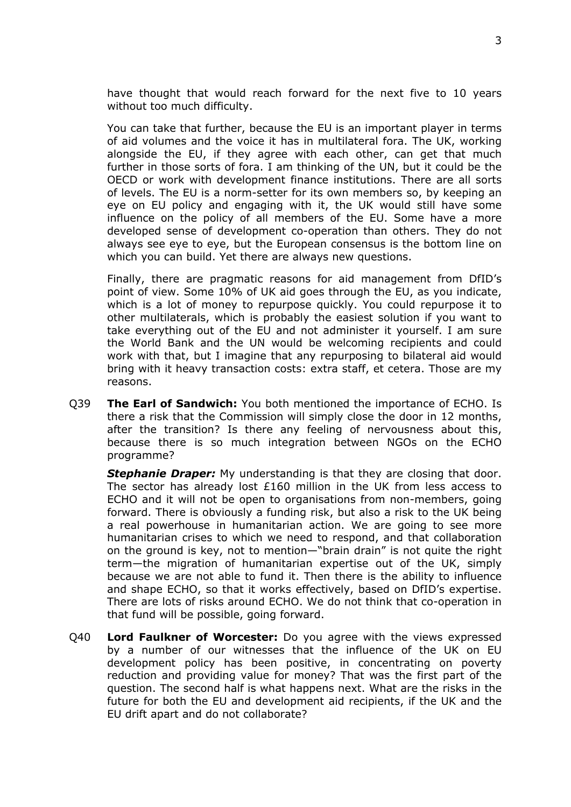have thought that would reach forward for the next five to 10 years without too much difficulty.

You can take that further, because the EU is an important player in terms of aid volumes and the voice it has in multilateral fora. The UK, working alongside the EU, if they agree with each other, can get that much further in those sorts of fora. I am thinking of the UN, but it could be the OECD or work with development finance institutions. There are all sorts of levels. The EU is a norm-setter for its own members so, by keeping an eye on EU policy and engaging with it, the UK would still have some influence on the policy of all members of the EU. Some have a more developed sense of development co-operation than others. They do not always see eye to eye, but the European consensus is the bottom line on which you can build. Yet there are always new questions.

Finally, there are pragmatic reasons for aid management from DfID's point of view. Some 10% of UK aid goes through the EU, as you indicate, which is a lot of money to repurpose quickly. You could repurpose it to other multilaterals, which is probably the easiest solution if you want to take everything out of the EU and not administer it yourself. I am sure the World Bank and the UN would be welcoming recipients and could work with that, but I imagine that any repurposing to bilateral aid would bring with it heavy transaction costs: extra staff, et cetera. Those are my reasons.

Q39 **The Earl of Sandwich:** You both mentioned the importance of ECHO. Is there a risk that the Commission will simply close the door in 12 months, after the transition? Is there any feeling of nervousness about this, because there is so much integration between NGOs on the ECHO programme?

**Stephanie Draper:** My understanding is that they are closing that door. The sector has already lost £160 million in the UK from less access to ECHO and it will not be open to organisations from non-members, going forward. There is obviously a funding risk, but also a risk to the UK being a real powerhouse in humanitarian action. We are going to see more humanitarian crises to which we need to respond, and that collaboration on the ground is key, not to mention—"brain drain" is not quite the right term—the migration of humanitarian expertise out of the UK, simply because we are not able to fund it. Then there is the ability to influence and shape ECHO, so that it works effectively, based on DfID's expertise. There are lots of risks around ECHO. We do not think that co-operation in that fund will be possible, going forward.

Q40 **Lord Faulkner of Worcester:** Do you agree with the views expressed by a number of our witnesses that the influence of the UK on EU development policy has been positive, in concentrating on poverty reduction and providing value for money? That was the first part of the question. The second half is what happens next. What are the risks in the future for both the EU and development aid recipients, if the UK and the EU drift apart and do not collaborate?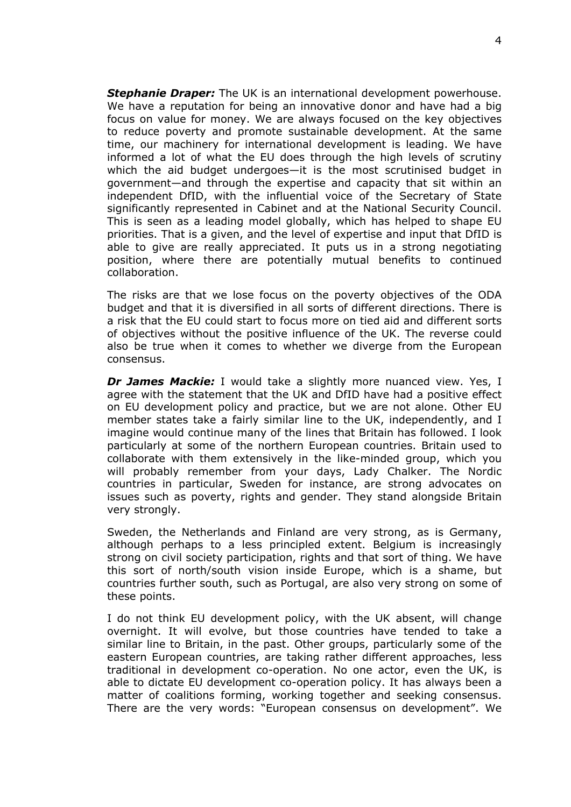*Stephanie Draper:* The UK is an international development powerhouse. We have a reputation for being an innovative donor and have had a big focus on value for money. We are always focused on the key objectives to reduce poverty and promote sustainable development. At the same time, our machinery for international development is leading. We have informed a lot of what the EU does through the high levels of scrutiny which the aid budget undergoes—it is the most scrutinised budget in government—and through the expertise and capacity that sit within an independent DfID, with the influential voice of the Secretary of State significantly represented in Cabinet and at the National Security Council. This is seen as a leading model globally, which has helped to shape EU priorities. That is a given, and the level of expertise and input that DfID is able to give are really appreciated. It puts us in a strong negotiating position, where there are potentially mutual benefits to continued collaboration.

The risks are that we lose focus on the poverty objectives of the ODA budget and that it is diversified in all sorts of different directions. There is a risk that the EU could start to focus more on tied aid and different sorts of objectives without the positive influence of the UK. The reverse could also be true when it comes to whether we diverge from the European consensus.

*Dr James Mackie:* I would take a slightly more nuanced view. Yes, I agree with the statement that the UK and DfID have had a positive effect on EU development policy and practice, but we are not alone. Other EU member states take a fairly similar line to the UK, independently, and I imagine would continue many of the lines that Britain has followed. I look particularly at some of the northern European countries. Britain used to collaborate with them extensively in the like-minded group, which you will probably remember from your days, Lady Chalker. The Nordic countries in particular, Sweden for instance, are strong advocates on issues such as poverty, rights and gender. They stand alongside Britain very strongly.

Sweden, the Netherlands and Finland are very strong, as is Germany, although perhaps to a less principled extent. Belgium is increasingly strong on civil society participation, rights and that sort of thing. We have this sort of north/south vision inside Europe, which is a shame, but countries further south, such as Portugal, are also very strong on some of these points.

I do not think EU development policy, with the UK absent, will change overnight. It will evolve, but those countries have tended to take a similar line to Britain, in the past. Other groups, particularly some of the eastern European countries, are taking rather different approaches, less traditional in development co-operation. No one actor, even the UK, is able to dictate EU development co-operation policy. It has always been a matter of coalitions forming, working together and seeking consensus. There are the very words: "European consensus on development". We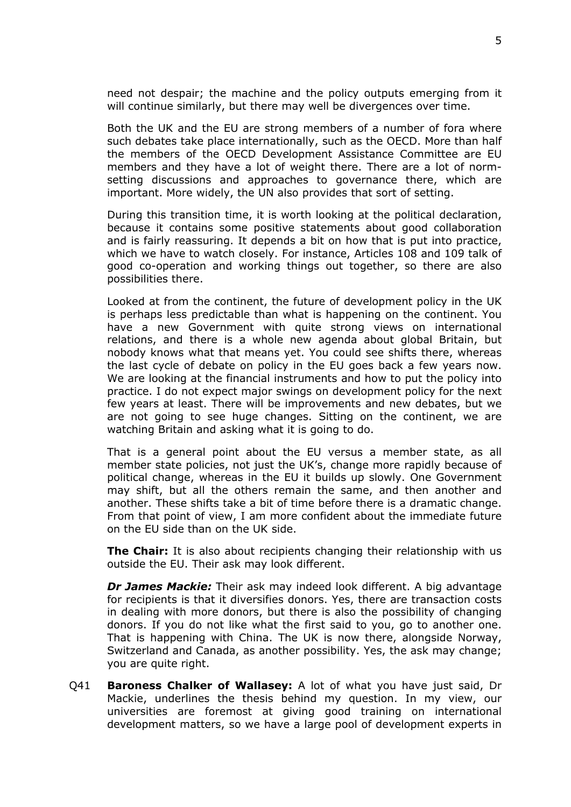need not despair; the machine and the policy outputs emerging from it will continue similarly, but there may well be divergences over time.

Both the UK and the EU are strong members of a number of fora where such debates take place internationally, such as the OECD. More than half the members of the OECD Development Assistance Committee are EU members and they have a lot of weight there. There are a lot of normsetting discussions and approaches to governance there, which are important. More widely, the UN also provides that sort of setting.

During this transition time, it is worth looking at the political declaration, because it contains some positive statements about good collaboration and is fairly reassuring. It depends a bit on how that is put into practice, which we have to watch closely. For instance, Articles 108 and 109 talk of good co-operation and working things out together, so there are also possibilities there.

Looked at from the continent, the future of development policy in the UK is perhaps less predictable than what is happening on the continent. You have a new Government with quite strong views on international relations, and there is a whole new agenda about global Britain, but nobody knows what that means yet. You could see shifts there, whereas the last cycle of debate on policy in the EU goes back a few years now. We are looking at the financial instruments and how to put the policy into practice. I do not expect major swings on development policy for the next few years at least. There will be improvements and new debates, but we are not going to see huge changes. Sitting on the continent, we are watching Britain and asking what it is going to do.

That is a general point about the EU versus a member state, as all member state policies, not just the UK's, change more rapidly because of political change, whereas in the EU it builds up slowly. One Government may shift, but all the others remain the same, and then another and another. These shifts take a bit of time before there is a dramatic change. From that point of view, I am more confident about the immediate future on the EU side than on the UK side.

**The Chair:** It is also about recipients changing their relationship with us outside the EU. Their ask may look different.

*Dr James Mackie:* Their ask may indeed look different. A big advantage for recipients is that it diversifies donors. Yes, there are transaction costs in dealing with more donors, but there is also the possibility of changing donors. If you do not like what the first said to you, go to another one. That is happening with China. The UK is now there, alongside Norway, Switzerland and Canada, as another possibility. Yes, the ask may change; you are quite right.

Q41 **Baroness Chalker of Wallasey:** A lot of what you have just said, Dr Mackie, underlines the thesis behind my question. In my view, our universities are foremost at giving good training on international development matters, so we have a large pool of development experts in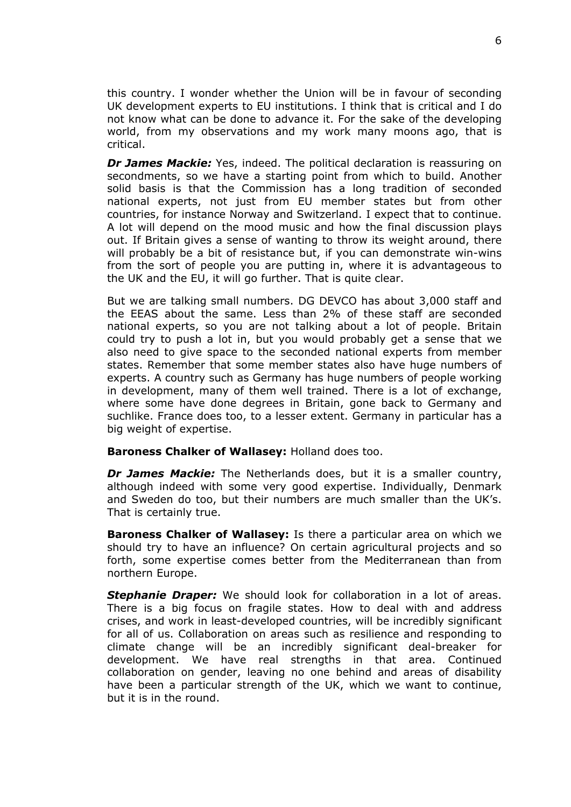this country. I wonder whether the Union will be in favour of seconding UK development experts to EU institutions. I think that is critical and I do not know what can be done to advance it. For the sake of the developing world, from my observations and my work many moons ago, that is critical.

*Dr James Mackie:* Yes, indeed. The political declaration is reassuring on secondments, so we have a starting point from which to build. Another solid basis is that the Commission has a long tradition of seconded national experts, not just from EU member states but from other countries, for instance Norway and Switzerland. I expect that to continue. A lot will depend on the mood music and how the final discussion plays out. If Britain gives a sense of wanting to throw its weight around, there will probably be a bit of resistance but, if you can demonstrate win-wins from the sort of people you are putting in, where it is advantageous to the UK and the EU, it will go further. That is quite clear.

But we are talking small numbers. DG DEVCO has about 3,000 staff and the EEAS about the same. Less than 2% of these staff are seconded national experts, so you are not talking about a lot of people. Britain could try to push a lot in, but you would probably get a sense that we also need to give space to the seconded national experts from member states. Remember that some member states also have huge numbers of experts. A country such as Germany has huge numbers of people working in development, many of them well trained. There is a lot of exchange, where some have done degrees in Britain, gone back to Germany and suchlike. France does too, to a lesser extent. Germany in particular has a big weight of expertise.

#### **Baroness Chalker of Wallasey:** Holland does too.

*Dr James Mackie:* The Netherlands does, but it is a smaller country, although indeed with some very good expertise. Individually, Denmark and Sweden do too, but their numbers are much smaller than the UK's. That is certainly true.

**Baroness Chalker of Wallasey:** Is there a particular area on which we should try to have an influence? On certain agricultural projects and so forth, some expertise comes better from the Mediterranean than from northern Europe.

**Stephanie Draper:** We should look for collaboration in a lot of areas. There is a big focus on fragile states. How to deal with and address crises, and work in least-developed countries, will be incredibly significant for all of us. Collaboration on areas such as resilience and responding to climate change will be an incredibly significant deal-breaker for development. We have real strengths in that area. Continued collaboration on gender, leaving no one behind and areas of disability have been a particular strength of the UK, which we want to continue, but it is in the round.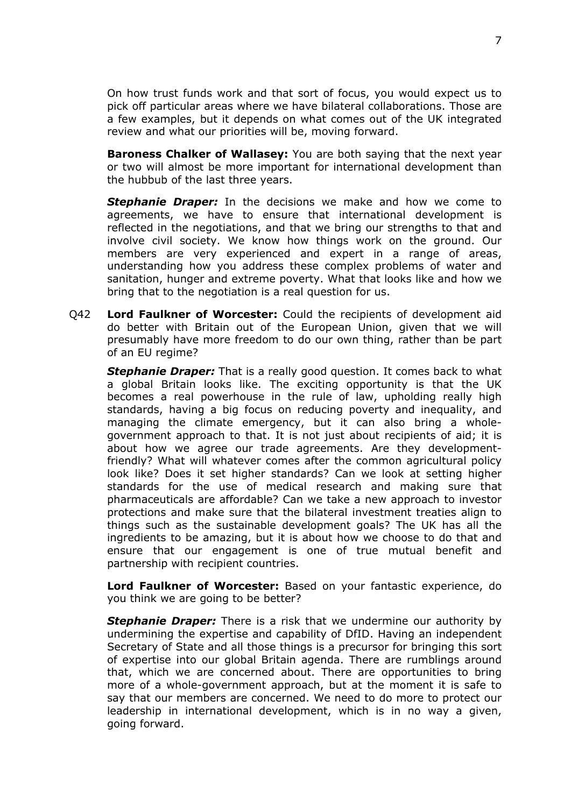On how trust funds work and that sort of focus, you would expect us to pick off particular areas where we have bilateral collaborations. Those are a few examples, but it depends on what comes out of the UK integrated review and what our priorities will be, moving forward.

**Baroness Chalker of Wallasey:** You are both saying that the next year or two will almost be more important for international development than the hubbub of the last three years.

*Stephanie Draper:* In the decisions we make and how we come to agreements, we have to ensure that international development is reflected in the negotiations, and that we bring our strengths to that and involve civil society. We know how things work on the ground. Our members are very experienced and expert in a range of areas, understanding how you address these complex problems of water and sanitation, hunger and extreme poverty. What that looks like and how we bring that to the negotiation is a real question for us.

Q42 **Lord Faulkner of Worcester:** Could the recipients of development aid do better with Britain out of the European Union, given that we will presumably have more freedom to do our own thing, rather than be part of an EU regime?

**Stephanie Draper:** That is a really good question. It comes back to what a global Britain looks like. The exciting opportunity is that the UK becomes a real powerhouse in the rule of law, upholding really high standards, having a big focus on reducing poverty and inequality, and managing the climate emergency, but it can also bring a wholegovernment approach to that. It is not just about recipients of aid; it is about how we agree our trade agreements. Are they developmentfriendly? What will whatever comes after the common agricultural policy look like? Does it set higher standards? Can we look at setting higher standards for the use of medical research and making sure that pharmaceuticals are affordable? Can we take a new approach to investor protections and make sure that the bilateral investment treaties align to things such as the sustainable development goals? The UK has all the ingredients to be amazing, but it is about how we choose to do that and ensure that our engagement is one of true mutual benefit and partnership with recipient countries.

**Lord Faulkner of Worcester:** Based on your fantastic experience, do you think we are going to be better?

*Stephanie Draper:* There is a risk that we undermine our authority by undermining the expertise and capability of DfID. Having an independent Secretary of State and all those things is a precursor for bringing this sort of expertise into our global Britain agenda. There are rumblings around that, which we are concerned about. There are opportunities to bring more of a whole-government approach, but at the moment it is safe to say that our members are concerned. We need to do more to protect our leadership in international development, which is in no way a given, going forward.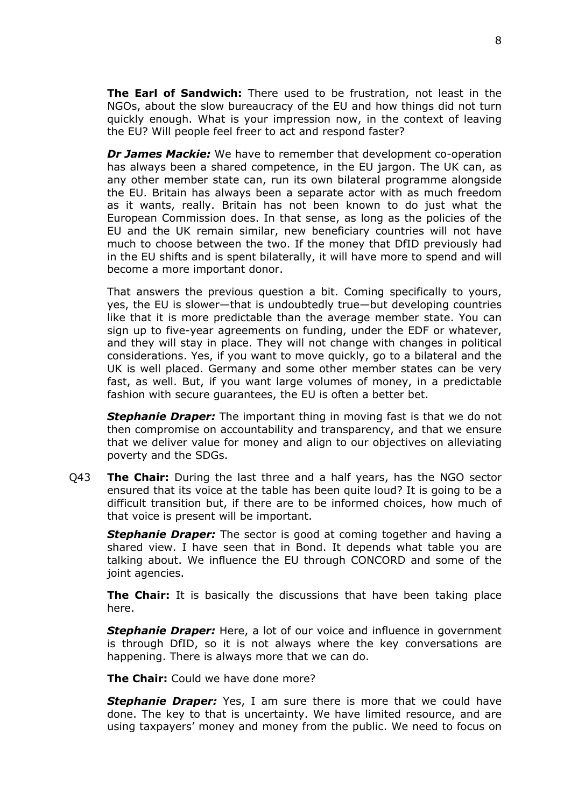**The Earl of Sandwich:** There used to be frustration, not least in the NGOs, about the slow bureaucracy of the EU and how things did not turn quickly enough. What is your impression now, in the context of leaving the EU? Will people feel freer to act and respond faster?

*Dr James Mackie:* We have to remember that development co-operation has always been a shared competence, in the EU jargon. The UK can, as any other member state can, run its own bilateral programme alongside the EU. Britain has always been a separate actor with as much freedom as it wants, really. Britain has not been known to do just what the European Commission does. In that sense, as long as the policies of the EU and the UK remain similar, new beneficiary countries will not have much to choose between the two. If the money that DfID previously had in the EU shifts and is spent bilaterally, it will have more to spend and will become a more important donor.

That answers the previous question a bit. Coming specifically to yours, yes, the EU is slower—that is undoubtedly true—but developing countries like that it is more predictable than the average member state. You can sign up to five-year agreements on funding, under the EDF or whatever, and they will stay in place. They will not change with changes in political considerations. Yes, if you want to move quickly, go to a bilateral and the UK is well placed. Germany and some other member states can be very fast, as well. But, if you want large volumes of money, in a predictable fashion with secure guarantees, the EU is often a better bet.

*Stephanie Draper:* The important thing in moving fast is that we do not then compromise on accountability and transparency, and that we ensure that we deliver value for money and align to our objectives on alleviating poverty and the SDGs.

Q43 **The Chair:** During the last three and a half years, has the NGO sector ensured that its voice at the table has been quite loud? It is going to be a difficult transition but, if there are to be informed choices, how much of that voice is present will be important.

*Stephanie Draper:* The sector is good at coming together and having a shared view. I have seen that in Bond. It depends what table you are talking about. We influence the EU through CONCORD and some of the joint agencies.

**The Chair:** It is basically the discussions that have been taking place here.

**Stephanie Draper:** Here, a lot of our voice and influence in government is through DfID, so it is not always where the key conversations are happening. There is always more that we can do.

**The Chair:** Could we have done more?

**Stephanie Draper:** Yes, I am sure there is more that we could have done. The key to that is uncertainty. We have limited resource, and are using taxpayers' money and money from the public. We need to focus on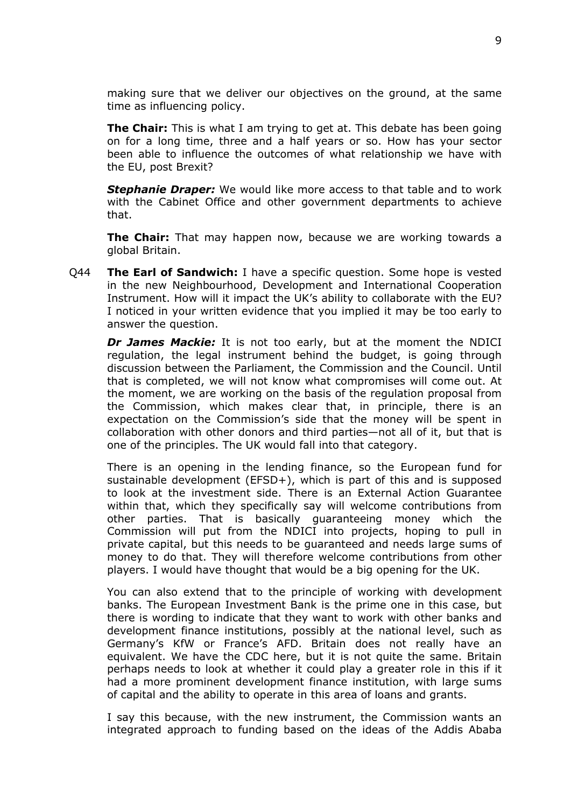making sure that we deliver our objectives on the ground, at the same time as influencing policy.

**The Chair:** This is what I am trying to get at. This debate has been going on for a long time, three and a half years or so. How has your sector been able to influence the outcomes of what relationship we have with the EU, post Brexit?

*Stephanie Draper:* We would like more access to that table and to work with the Cabinet Office and other government departments to achieve that.

**The Chair:** That may happen now, because we are working towards a global Britain.

Q44 **The Earl of Sandwich:** I have a specific question. Some hope is vested in the new Neighbourhood, Development and International Cooperation Instrument. How will it impact the UK's ability to collaborate with the EU? I noticed in your written evidence that you implied it may be too early to answer the question.

*Dr James Mackie:* It is not too early, but at the moment the NDICI regulation, the legal instrument behind the budget, is going through discussion between the Parliament, the Commission and the Council. Until that is completed, we will not know what compromises will come out. At the moment, we are working on the basis of the regulation proposal from the Commission, which makes clear that, in principle, there is an expectation on the Commission's side that the money will be spent in collaboration with other donors and third parties—not all of it, but that is one of the principles. The UK would fall into that category.

There is an opening in the lending finance, so the European fund for sustainable development (EFSD+), which is part of this and is supposed to look at the investment side. There is an External Action Guarantee within that, which they specifically say will welcome contributions from other parties. That is basically guaranteeing money which the Commission will put from the NDICI into projects, hoping to pull in private capital, but this needs to be guaranteed and needs large sums of money to do that. They will therefore welcome contributions from other players. I would have thought that would be a big opening for the UK.

You can also extend that to the principle of working with development banks. The European Investment Bank is the prime one in this case, but there is wording to indicate that they want to work with other banks and development finance institutions, possibly at the national level, such as Germany's KfW or France's AFD. Britain does not really have an equivalent. We have the CDC here, but it is not quite the same. Britain perhaps needs to look at whether it could play a greater role in this if it had a more prominent development finance institution, with large sums of capital and the ability to operate in this area of loans and grants.

I say this because, with the new instrument, the Commission wants an integrated approach to funding based on the ideas of the Addis Ababa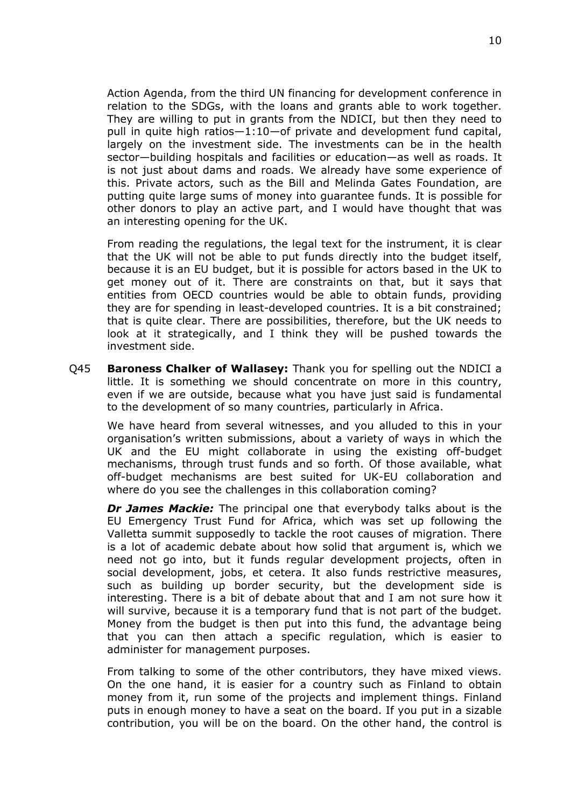Action Agenda, from the third UN financing for development conference in relation to the SDGs, with the loans and grants able to work together. They are willing to put in grants from the NDICI, but then they need to pull in quite high ratios—1:10—of private and development fund capital, largely on the investment side. The investments can be in the health sector—building hospitals and facilities or education—as well as roads. It is not just about dams and roads. We already have some experience of this. Private actors, such as the Bill and Melinda Gates Foundation, are putting quite large sums of money into guarantee funds. It is possible for other donors to play an active part, and I would have thought that was an interesting opening for the UK.

From reading the regulations, the legal text for the instrument, it is clear that the UK will not be able to put funds directly into the budget itself, because it is an EU budget, but it is possible for actors based in the UK to get money out of it. There are constraints on that, but it says that entities from OECD countries would be able to obtain funds, providing they are for spending in least-developed countries. It is a bit constrained; that is quite clear. There are possibilities, therefore, but the UK needs to look at it strategically, and I think they will be pushed towards the investment side.

Q45 **Baroness Chalker of Wallasey:** Thank you for spelling out the NDICI a little. It is something we should concentrate on more in this country, even if we are outside, because what you have just said is fundamental to the development of so many countries, particularly in Africa.

We have heard from several witnesses, and you alluded to this in your organisation's written submissions, about a variety of ways in which the UK and the EU might collaborate in using the existing off-budget mechanisms, through trust funds and so forth. Of those available, what off-budget mechanisms are best suited for UK-EU collaboration and where do you see the challenges in this collaboration coming?

*Dr James Mackie:* The principal one that everybody talks about is the EU Emergency Trust Fund for Africa, which was set up following the Valletta summit supposedly to tackle the root causes of migration. There is a lot of academic debate about how solid that argument is, which we need not go into, but it funds regular development projects, often in social development, jobs, et cetera. It also funds restrictive measures, such as building up border security, but the development side is interesting. There is a bit of debate about that and I am not sure how it will survive, because it is a temporary fund that is not part of the budget. Money from the budget is then put into this fund, the advantage being that you can then attach a specific regulation, which is easier to administer for management purposes.

From talking to some of the other contributors, they have mixed views. On the one hand, it is easier for a country such as Finland to obtain money from it, run some of the projects and implement things. Finland puts in enough money to have a seat on the board. If you put in a sizable contribution, you will be on the board. On the other hand, the control is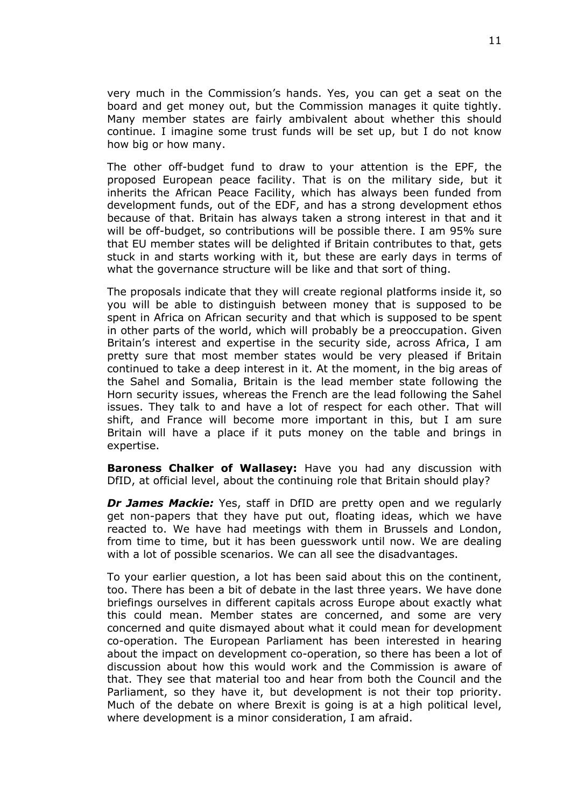very much in the Commission's hands. Yes, you can get a seat on the board and get money out, but the Commission manages it quite tightly. Many member states are fairly ambivalent about whether this should continue. I imagine some trust funds will be set up, but I do not know how big or how many.

The other off-budget fund to draw to your attention is the EPF, the proposed European peace facility. That is on the military side, but it inherits the African Peace Facility, which has always been funded from development funds, out of the EDF, and has a strong development ethos because of that. Britain has always taken a strong interest in that and it will be off-budget, so contributions will be possible there. I am 95% sure that EU member states will be delighted if Britain contributes to that, gets stuck in and starts working with it, but these are early days in terms of what the governance structure will be like and that sort of thing.

The proposals indicate that they will create regional platforms inside it, so you will be able to distinguish between money that is supposed to be spent in Africa on African security and that which is supposed to be spent in other parts of the world, which will probably be a preoccupation. Given Britain's interest and expertise in the security side, across Africa, I am pretty sure that most member states would be very pleased if Britain continued to take a deep interest in it. At the moment, in the big areas of the Sahel and Somalia, Britain is the lead member state following the Horn security issues, whereas the French are the lead following the Sahel issues. They talk to and have a lot of respect for each other. That will shift, and France will become more important in this, but I am sure Britain will have a place if it puts money on the table and brings in expertise.

**Baroness Chalker of Wallasey:** Have you had any discussion with DfID, at official level, about the continuing role that Britain should play?

*Dr James Mackie:* Yes, staff in DfID are pretty open and we regularly get non-papers that they have put out, floating ideas, which we have reacted to. We have had meetings with them in Brussels and London, from time to time, but it has been guesswork until now. We are dealing with a lot of possible scenarios. We can all see the disadvantages.

To your earlier question, a lot has been said about this on the continent, too. There has been a bit of debate in the last three years. We have done briefings ourselves in different capitals across Europe about exactly what this could mean. Member states are concerned, and some are very concerned and quite dismayed about what it could mean for development co-operation. The European Parliament has been interested in hearing about the impact on development co-operation, so there has been a lot of discussion about how this would work and the Commission is aware of that. They see that material too and hear from both the Council and the Parliament, so they have it, but development is not their top priority. Much of the debate on where Brexit is going is at a high political level, where development is a minor consideration, I am afraid.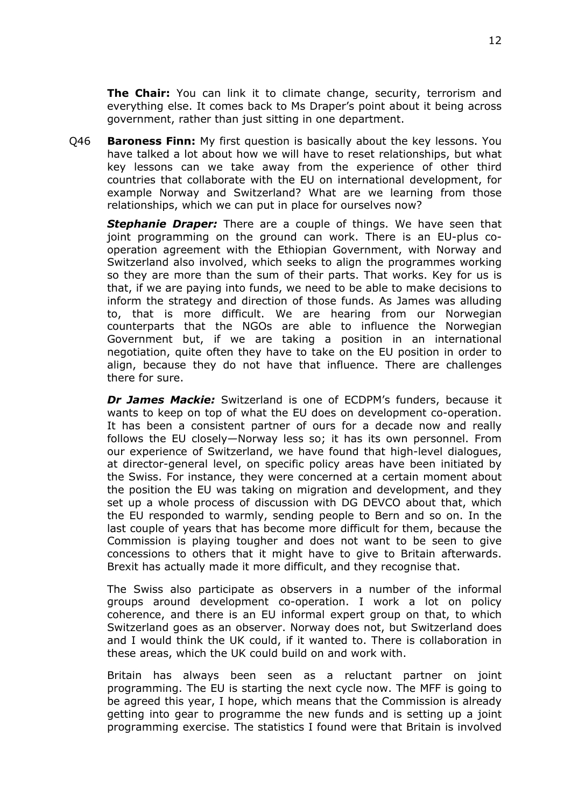**The Chair:** You can link it to climate change, security, terrorism and everything else. It comes back to Ms Draper's point about it being across government, rather than just sitting in one department.

Q46 **Baroness Finn:** My first question is basically about the key lessons. You have talked a lot about how we will have to reset relationships, but what key lessons can we take away from the experience of other third countries that collaborate with the EU on international development, for example Norway and Switzerland? What are we learning from those relationships, which we can put in place for ourselves now?

*Stephanie Draper:* There are a couple of things. We have seen that joint programming on the ground can work. There is an EU-plus cooperation agreement with the Ethiopian Government, with Norway and Switzerland also involved, which seeks to align the programmes working so they are more than the sum of their parts. That works. Key for us is that, if we are paying into funds, we need to be able to make decisions to inform the strategy and direction of those funds. As James was alluding to, that is more difficult. We are hearing from our Norwegian counterparts that the NGOs are able to influence the Norwegian Government but, if we are taking a position in an international negotiation, quite often they have to take on the EU position in order to align, because they do not have that influence. There are challenges there for sure.

*Dr James Mackie:* Switzerland is one of ECDPM's funders, because it wants to keep on top of what the EU does on development co-operation. It has been a consistent partner of ours for a decade now and really follows the EU closely—Norway less so; it has its own personnel. From our experience of Switzerland, we have found that high-level dialogues, at director-general level, on specific policy areas have been initiated by the Swiss. For instance, they were concerned at a certain moment about the position the EU was taking on migration and development, and they set up a whole process of discussion with DG DEVCO about that, which the EU responded to warmly, sending people to Bern and so on. In the last couple of years that has become more difficult for them, because the Commission is playing tougher and does not want to be seen to give concessions to others that it might have to give to Britain afterwards. Brexit has actually made it more difficult, and they recognise that.

The Swiss also participate as observers in a number of the informal groups around development co-operation. I work a lot on policy coherence, and there is an EU informal expert group on that, to which Switzerland goes as an observer. Norway does not, but Switzerland does and I would think the UK could, if it wanted to. There is collaboration in these areas, which the UK could build on and work with.

Britain has always been seen as a reluctant partner on joint programming. The EU is starting the next cycle now. The MFF is going to be agreed this year, I hope, which means that the Commission is already getting into gear to programme the new funds and is setting up a joint programming exercise. The statistics I found were that Britain is involved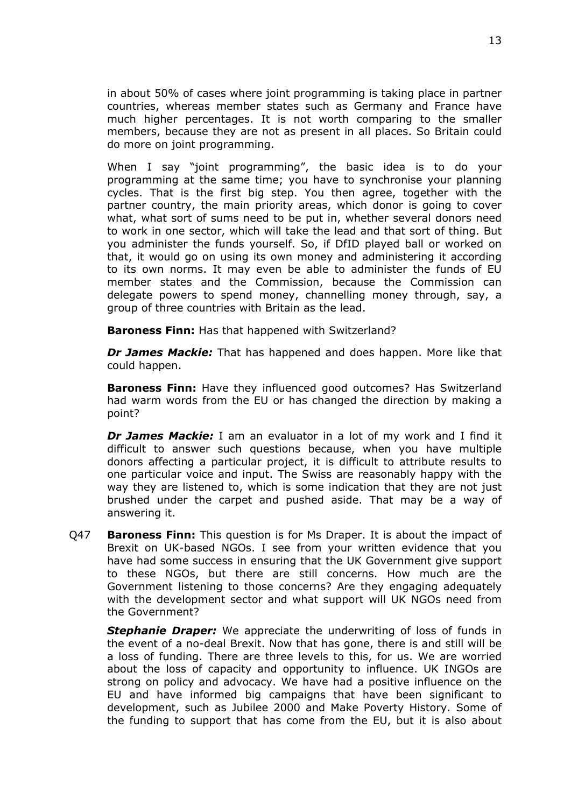in about 50% of cases where joint programming is taking place in partner countries, whereas member states such as Germany and France have much higher percentages. It is not worth comparing to the smaller members, because they are not as present in all places. So Britain could do more on joint programming.

When I say "joint programming", the basic idea is to do your programming at the same time; you have to synchronise your planning cycles. That is the first big step. You then agree, together with the partner country, the main priority areas, which donor is going to cover what, what sort of sums need to be put in, whether several donors need to work in one sector, which will take the lead and that sort of thing. But you administer the funds yourself. So, if DfID played ball or worked on that, it would go on using its own money and administering it according to its own norms. It may even be able to administer the funds of EU member states and the Commission, because the Commission can delegate powers to spend money, channelling money through, say, a group of three countries with Britain as the lead.

**Baroness Finn:** Has that happened with Switzerland?

*Dr James Mackie:* That has happened and does happen. More like that could happen.

**Baroness Finn:** Have they influenced good outcomes? Has Switzerland had warm words from the EU or has changed the direction by making a point?

*Dr James Mackie:* I am an evaluator in a lot of my work and I find it difficult to answer such questions because, when you have multiple donors affecting a particular project, it is difficult to attribute results to one particular voice and input. The Swiss are reasonably happy with the way they are listened to, which is some indication that they are not just brushed under the carpet and pushed aside. That may be a way of answering it.

Q47 **Baroness Finn:** This question is for Ms Draper. It is about the impact of Brexit on UK-based NGOs. I see from your written evidence that you have had some success in ensuring that the UK Government give support to these NGOs, but there are still concerns. How much are the Government listening to those concerns? Are they engaging adequately with the development sector and what support will UK NGOs need from the Government?

**Stephanie Draper:** We appreciate the underwriting of loss of funds in the event of a no-deal Brexit. Now that has gone, there is and still will be a loss of funding. There are three levels to this, for us. We are worried about the loss of capacity and opportunity to influence. UK INGOs are strong on policy and advocacy. We have had a positive influence on the EU and have informed big campaigns that have been significant to development, such as Jubilee 2000 and Make Poverty History. Some of the funding to support that has come from the EU, but it is also about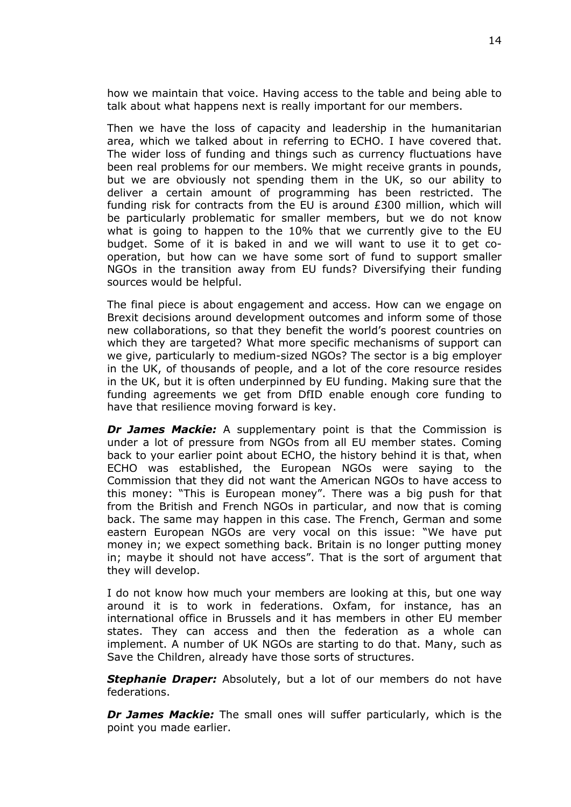how we maintain that voice. Having access to the table and being able to talk about what happens next is really important for our members.

Then we have the loss of capacity and leadership in the humanitarian area, which we talked about in referring to ECHO. I have covered that. The wider loss of funding and things such as currency fluctuations have been real problems for our members. We might receive grants in pounds, but we are obviously not spending them in the UK, so our ability to deliver a certain amount of programming has been restricted. The funding risk for contracts from the EU is around £300 million, which will be particularly problematic for smaller members, but we do not know what is going to happen to the 10% that we currently give to the EU budget. Some of it is baked in and we will want to use it to get cooperation, but how can we have some sort of fund to support smaller NGOs in the transition away from EU funds? Diversifying their funding sources would be helpful.

The final piece is about engagement and access. How can we engage on Brexit decisions around development outcomes and inform some of those new collaborations, so that they benefit the world's poorest countries on which they are targeted? What more specific mechanisms of support can we give, particularly to medium-sized NGOs? The sector is a big employer in the UK, of thousands of people, and a lot of the core resource resides in the UK, but it is often underpinned by EU funding. Making sure that the funding agreements we get from DfID enable enough core funding to have that resilience moving forward is key.

*Dr James Mackie:* A supplementary point is that the Commission is under a lot of pressure from NGOs from all EU member states. Coming back to your earlier point about ECHO, the history behind it is that, when ECHO was established, the European NGOs were saying to the Commission that they did not want the American NGOs to have access to this money: "This is European money". There was a big push for that from the British and French NGOs in particular, and now that is coming back. The same may happen in this case. The French, German and some eastern European NGOs are very vocal on this issue: "We have put money in; we expect something back. Britain is no longer putting money in; maybe it should not have access". That is the sort of argument that they will develop.

I do not know how much your members are looking at this, but one way around it is to work in federations. Oxfam, for instance, has an international office in Brussels and it has members in other EU member states. They can access and then the federation as a whole can implement. A number of UK NGOs are starting to do that. Many, such as Save the Children, already have those sorts of structures.

**Stephanie Draper:** Absolutely, but a lot of our members do not have federations.

*Dr James Mackie:* The small ones will suffer particularly, which is the point you made earlier.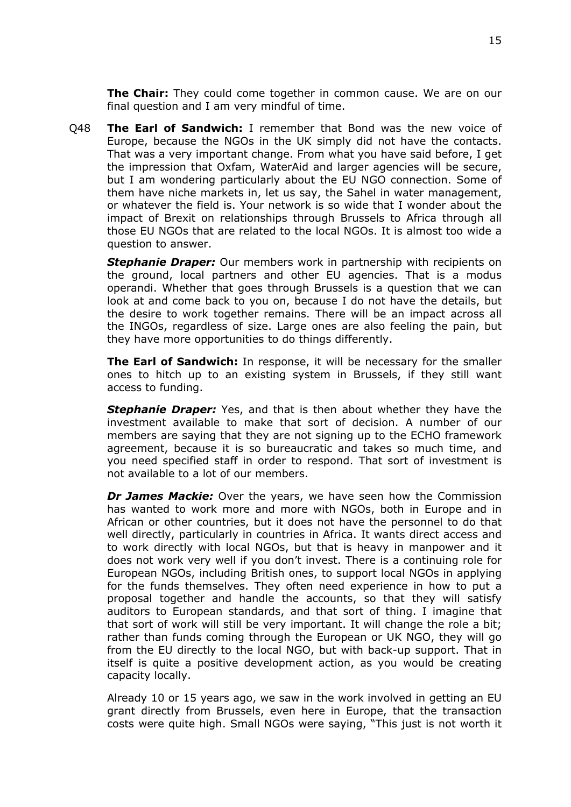**The Chair:** They could come together in common cause. We are on our final question and I am very mindful of time.

Q48 **The Earl of Sandwich:** I remember that Bond was the new voice of Europe, because the NGOs in the UK simply did not have the contacts. That was a very important change. From what you have said before, I get the impression that Oxfam, WaterAid and larger agencies will be secure, but I am wondering particularly about the EU NGO connection. Some of them have niche markets in, let us say, the Sahel in water management, or whatever the field is. Your network is so wide that I wonder about the impact of Brexit on relationships through Brussels to Africa through all those EU NGOs that are related to the local NGOs. It is almost too wide a question to answer.

*Stephanie Draper:* Our members work in partnership with recipients on the ground, local partners and other EU agencies. That is a modus operandi. Whether that goes through Brussels is a question that we can look at and come back to you on, because I do not have the details, but the desire to work together remains. There will be an impact across all the INGOs, regardless of size. Large ones are also feeling the pain, but they have more opportunities to do things differently.

**The Earl of Sandwich:** In response, it will be necessary for the smaller ones to hitch up to an existing system in Brussels, if they still want access to funding.

*Stephanie Draper:* Yes, and that is then about whether they have the investment available to make that sort of decision. A number of our members are saying that they are not signing up to the ECHO framework agreement, because it is so bureaucratic and takes so much time, and you need specified staff in order to respond. That sort of investment is not available to a lot of our members.

*Dr James Mackie:* Over the years, we have seen how the Commission has wanted to work more and more with NGOs, both in Europe and in African or other countries, but it does not have the personnel to do that well directly, particularly in countries in Africa. It wants direct access and to work directly with local NGOs, but that is heavy in manpower and it does not work very well if you don't invest. There is a continuing role for European NGOs, including British ones, to support local NGOs in applying for the funds themselves. They often need experience in how to put a proposal together and handle the accounts, so that they will satisfy auditors to European standards, and that sort of thing. I imagine that that sort of work will still be very important. It will change the role a bit; rather than funds coming through the European or UK NGO, they will go from the EU directly to the local NGO, but with back-up support. That in itself is quite a positive development action, as you would be creating capacity locally.

Already 10 or 15 years ago, we saw in the work involved in getting an EU grant directly from Brussels, even here in Europe, that the transaction costs were quite high. Small NGOs were saying, "This just is not worth it